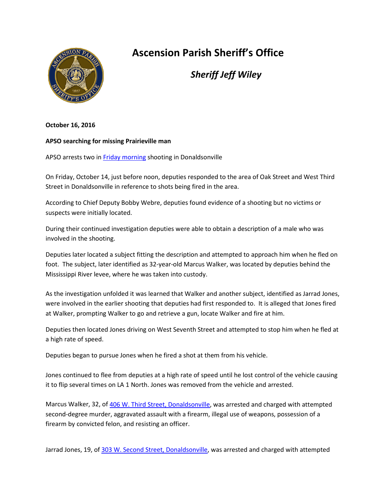

## **Ascension Parish Sheriff's Office**

*Sheriff Jeff Wiley*

**October 16, 2016**

## **APSO searching for missing Prairieville man**

APSO arrests two in [Friday morning](x-apple-data-detectors://7/) shooting in Donaldsonville

On Friday, October 14, just before noon, deputies responded to the area of Oak Street and West Third Street in Donaldsonville in reference to shots being fired in the area.

According to Chief Deputy Bobby Webre, deputies found evidence of a shooting but no victims or suspects were initially located.

During their continued investigation deputies were able to obtain a description of a male who was involved in the shooting.

Deputies later located a subject fitting the description and attempted to approach him when he fled on foot. The subject, later identified as 32-year-old Marcus Walker, was located by deputies behind the Mississippi River levee, where he was taken into custody.

As the investigation unfolded it was learned that Walker and another subject, identified as Jarrad Jones, were involved in the earlier shooting that deputies had first responded to. It is alleged that Jones fired at Walker, prompting Walker to go and retrieve a gun, locate Walker and fire at him.

Deputies then located Jones driving on West Seventh Street and attempted to stop him when he fled at a high rate of speed.

Deputies began to pursue Jones when he fired a shot at them from his vehicle.

Jones continued to flee from deputies at a high rate of speed until he lost control of the vehicle causing it to flip several times on LA 1 North. Jones was removed from the vehicle and arrested.

Marcus Walker, 32, of [406 W. Third Street, Donaldsonville,](x-apple-data-detectors://9/1) was arrested and charged with attempted second-degree murder, aggravated assault with a firearm, illegal use of weapons, possession of a firearm by convicted felon, and resisting an officer.

Jarrad Jones, 19, of [303 W. Second Street, Donaldsonville,](x-apple-data-detectors://10/1) was arrested and charged with attempted